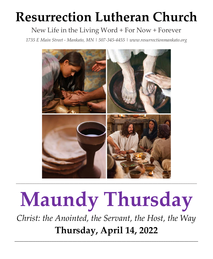# **Resurrection Lutheran Church**

# New Life in the Living Word + For Now + Forever

*1735 E Main Street - Mankato, MN | 507-345-4455 [| www.resurrectionmankato.org](http://www.resurrectionmankato.org/)*



# **Maundy Thursday**

*Christ: the Anointed, the Servant, the Host, the Way* **Thursday, April 14, 2022**

*\_\_\_\_\_\_\_\_\_\_\_\_\_\_\_\_\_\_\_\_\_\_\_\_\_\_\_\_\_\_\_\_\_\_\_\_\_\_\_\_\_\_\_\_\_\_\_\_\_\_\_\_\_\_\_\_\_\_\_\_\_\_\_\_\_\_\_\_\_\_\_\_\_\_\_\_\_\_\_*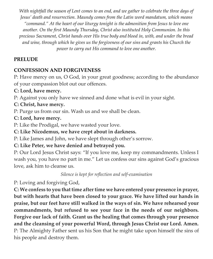*With nightfall the season of Lent comes to an end, and we gather to celebrate the three days of Jesus' death and resurrection. Maundy comes from the Latin word mandatum, which means "command." At the heart of our liturgy tonight is the admonition from Jesus to love one another. On the first Maundy Thursday, Christ also instituted Holy Communion. In this precious Sacrament, Christ hands over His true body and blood in, with, and under the bread and wine, through which he gives us the forgiveness of our sins and grants his Church the power to carry out His command to love one another.* 

# **PRELUDE**

# **CONFESSION AND FORGIVENESS**

P: Have mercy on us, O God, in your great goodness; according to the abundance of your compassion blot out our offences.

# **C: Lord, have mercy.**

P: Against you only have we sinned and done what is evil in your sight.

**C: Christ, have mercy.** 

P: Purge us from our sin. Wash us and we shall be clean.

# **C: Lord, have mercy.**

P: Like the Prodigal, we have wasted your love.

# **C: Like Nicodemus, we have crept about in darkness.**

P: Like James and John, we have slept through other's sorrow.

**C: Like Peter, we have denied and betrayed you.**

P: Our Lord Jesus Christ says: "If you love me, keep my commandments. Unless I wash you, you have no part in me." Let us confess our sins against God's gracious love, ask him to cleanse us.

*Silence is kept for reflection and self-examination*

P: Loving and forgiving God,

**C: We confess to you that time after time we have entered your presence in prayer, but with hearts that have been closed to your grace. We have lifted our hands in praise, but our feet have still walked in the ways of sin. We have rehearsed your commandments, but refused to see your face in the needs of our neighbors. Forgive our lack of faith. Grant us the healing that comes through your presence and the cleansing of your powerful Word, through Jesus Christ our Lord. Amen.**  P: The Almighty Father sent us his Son that he might take upon himself the sins of his people and destroy them.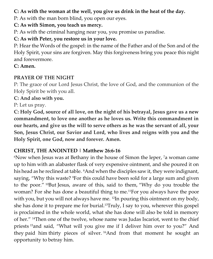# **C: As with the woman at the well, you give us drink in the heat of the day.**

P: As with the man born blind, you open our eyes.

### **C: As with Simon, you teach us mercy.**

P: As with the criminal hanging near you, you promise us paradise.

# **C: As with Peter, you restore us in your love.**

P: Hear the Words of the gospel: in the name of the Father and of the Son and of the Holy Spirit, your sins are forgiven. May this forgiveness bring you peace this night and forevermore.

#### **C: Amen.**

# **PRAYER OF THE NIGHT**

P: The grace of our Lord Jesus Christ, the love of God, and the communion of the Holy Spirit be with you all.

**C: And also with you.** 

P: Let us pray.

**C: Holy God, source of all love, on the night of his betrayal, Jesus gave us a new commandment, to love one another as he loves us. Write this commandment in our hearts, and give us the will to serve others as he was the servant of all, your Son, Jesus Christ, our Savior and Lord, who lives and reigns with you and the Holy Spirit, one God, now and forever. Amen.** 

# **CHRIST, THE ANOINTED | Matthew 26:6-16**

 $\,^6$ Now when Jesus was at Bethany in the house of Simon the leper,  $\,^7$ a woman came up to him with an alabaster flask of very expensive ointment, and she poured it on his head as he reclined at table. <sup>8</sup>And when the disciples saw it, they were indignant, saying, "Why this waste? <sup>9</sup>For this could have been sold for a large sum and given to the poor." <sup>10</sup>But Jesus, aware of this, said to them, "Why do you trouble the woman? For she has done a beautiful thing to me.11For you always have the poor with you, but you will not always have me. <sup>12</sup> In pouring this ointment on my body, she has done it to prepare me for burial.13Truly, I say to you, wherever this gospel is proclaimed in the whole world, what she has done will also be told in memory of her." <sup>14</sup>Then one of the twelve, whose name was Judas Iscariot, went to the chief priests <sup>15</sup>and said, "What will you give me if I deliver him over to you?" And they paid him thirty pieces of silver. <sup>16</sup>And from that moment he sought an opportunity to betray him.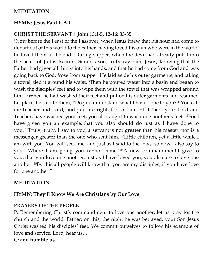#### **MEDITATION**

#### **HYMN: Jesus Paid It All**

#### **CHRIST THE SERVANT | John 13:1-5, 12-16; 33-35**

<sup>1</sup>Now before the Feast of the Passover, when Jesus knew that his hour had come to depart out of this world to the Father, having loved his own who were in the world, he loved them to the end. <sup>2</sup>During supper, when the devil had already put it into the heart of Judas Iscariot, Simon's son, to betray him, Jesus, knowing that the Father had given all things into his hands, and that he had come from God and was going back to God, <sup>4</sup>rose from supper. He laid aside his outer garments, and taking a towel, tied it around his waist. <sup>5</sup>Then he poured water into a basin and began to wash the disciples' feet and to wipe them with the towel that was wrapped around him. <sup>12</sup>When he had washed their feet and put on his outer garments and resumed his place, he said to them, "Do you understand what I have done to you? <sup>13</sup>You call me Teacher and Lord, and you are right, for so I am. <sup>14</sup> If I then, your Lord and Teacher, have washed your feet, you also ought to wash one another's feet. <sup>15</sup>For I have given you an example, that you also should do just as I have done to you. <sup>16</sup>Truly, truly, I say to you, a servant is not greater than his master, nor is a messenger greater than the one who sent him. <sup>33</sup> Little children, yet a little while I am with you. You will seek me, and just as I said to the Jews, so now I also say to you, 'Where I am going you cannot come.' <sup>34</sup>A new commandment I give to you, that you love one another: just as I have loved you, you also are to love one another. <sup>35</sup>By this all people will know that you are my disciples, if you have love for one another."

#### **MEDITATION**

#### **HYMN: They'll Know We Are Christians by Our Love**

#### **PRAYERS OF THE PEOPLE**

P: Remembering Christ's commandment to love one another, let us pray for the church and the world. Father, on this, the night he was betrayed, your Son Jesus Christ washed his disciples' feet. We commit ourselves to follow his example of love and service. Lord, hear us…

#### **C: and humble us.**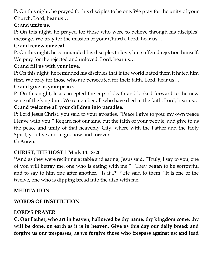P: On this night, he prayed for his disciples to be one. We pray for the unity of your Church. Lord, hear us…

# **C: and unite us.**

P: On this night, he prayed for those who were to believe through his disciples' message. We pray for the mission of your Church. Lord, hear us…

# **C: and renew our zeal.**

P: On this night, he commanded his disciples to love, but suffered rejection himself. We pray for the rejected and unloved. Lord, hear us…

# **C: and fill us with your love.**

P: On this night, he reminded his disciples that if the world hated them it hated him first. We pray for those who are persecuted for their faith. Lord, hear us…

# **C: and give us your peace.**

P: On this night, Jesus accepted the cup of death and looked forward to the new wine of the kingdom. We remember all who have died in the faith. Lord, hear us…

# **C: and welcome all your children into paradise.**

P: Lord Jesus Christ, you said to your apostles, "Peace I give to you; my own peace I leave with you." Regard not our sins, but the faith of your people, and give to us the peace and unity of that heavenly City, where with the Father and the Holy Spirit, you live and reign, now and forever.

# **C: Amen.**

# **CHRIST, THE HOST | Mark 14:18-20**

<sup>18</sup>And as they were reclining at table and eating, Jesus said, "Truly, I say to you, one of you will betray me, one who is eating with me." <sup>19</sup>They began to be sorrowful and to say to him one after another, "Is it I?" <sup>20</sup>He said to them, "It is one of the twelve, one who is dipping bread into the dish with me.

# **MEDITATION**

# **WORDS OF INSTITUTION**

# **LORD'S PRAYER**

**C: Our Father, who art in heaven, hallowed be thy name, thy kingdom come, thy will be done, on earth as it is in heaven. Give us this day our daily bread; and forgive us our trespasses, as we forgive those who trespass against us; and lead**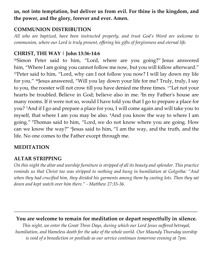# **us, not into temptation, but deliver us from evil. For thine is the kingdom, and the power, and the glory, forever and ever. Amen.**

#### **COMMUNION DISTRIBUTION**

*All who are baptized, have been instructed properly, and trust God's Word are welcome to communion, where our Lord is truly present, offering his gifts of forgiveness and eternal life.* 

# **CHRIST, THE WAY | John 13:36-14:6**

<sup>36</sup>Simon Peter said to him, "Lord, where are you going?" Jesus answered him, "Where I am going you cannot follow me now, but you will follow afterward." <sup>37</sup>Peter said to him, "Lord, why can I not follow you now? I will lay down my life for you." <sup>38</sup> Jesus answered, "Will you lay down your life for me? Truly, truly, I say to you, the rooster will not crow till you have denied me three times. <sup>1</sup>"Let not your hearts be troubled. Believe in God; believe also in me. <sup>2</sup> In my Father's house are many rooms. If it were not so, would I have told you that I go to prepare a place for you? <sup>3</sup>And if I go and prepare a place for you, I will come again and will take you to myself, that where I am you may be also. <sup>4</sup>And you know the way to where I am going." <sup>5</sup>Thomas said to him, "Lord, we do not know where you are going. How can we know the way?" Iesus said to him, "I am the way, and the truth, and the life. No one comes to the Father except through me.

#### **MEDITATION**

# **ALTAR STRIPPING**

*On this night the altar and worship furniture is stripped of all its beauty and splendor. This practice reminds us that Christ too was stripped to nothing and hung in humiliation at Golgotha: "And*  when they had crucified him, they divided his garments among them by casting lots. Then they sat *down and kept watch over him there." - Matthew 27:35-36.* 

# **You are welcome to remain for meditation or depart respectfully in silence.**

**\_\_\_\_\_\_\_\_\_\_\_\_\_\_\_\_\_\_\_\_\_\_\_\_\_\_\_\_\_\_\_\_\_\_\_\_\_\_\_\_\_\_\_\_\_\_\_\_\_\_\_\_\_\_\_\_\_\_\_\_\_\_\_\_\_\_\_\_\_\_\_\_\_\_\_\_\_\_\_**

*This night, we enter the Great Three Days, during which our Lord Jesus suffered betrayal, humiliation, and blameless death for the sake of the whole world. Our Maundy Thursday worship is void of a benediction or postlude as our service continues tomorrow evening at 7pm.*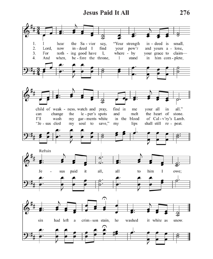# **Jesus Paid It All**